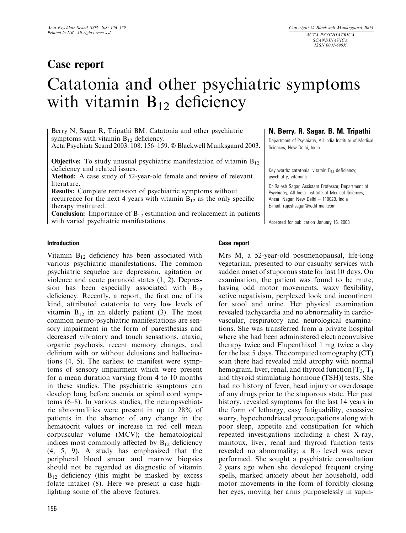# Case report

N. Berry, R. Sagar, B. M. Tripathi Department of Psychiatry, All India Institute of Medical

Key words: catatonia; vitamin  $B_{12}$  deficiency;

Accepted for publication January 16, 2003

Dr Rajesh Sagar, Assistant Professor, Department of Psychiatry, All India Institute of Medical Sciences, Ansari Nagar, New Delhi – 110029, India E-mail: rajeshsagar@rediffmail.com

Sciences, New Delhi, India

psychiatry; vitamins

# Catatonia and other psychiatric symptoms with vitamin  $B_{12}$  deficiency

Berry N, Sagar R, Tripathi BM. Catatonia and other psychiatric symptoms with vitamin  $B_{12}$  deficiency.

Acta Psychiatr Scand 2003: 108: 156-159. © Blackwell Munksgaard 2003.

**Objective:** To study unusual psychiatric manifestation of vitamin  $B_{12}$ deficiency and related issues.

Method: A case study of 52-year-old female and review of relevant literature.

Results: Complete remission of psychiatric symptoms without recurrence for the next 4 years with vitamin  $B_{12}$  as the only specific therapy instituted.

**Conclusion:** Importance of  $B_{12}$  estimation and replacement in patients with varied psychiatric manifestations.

### Introduction

Vitamin  $B_{12}$  deficiency has been associated with various psychiatric manifestations. The common psychiatric sequelae are depression, agitation or violence and acute paranoid states (1, 2). Depression has been especially associated with  $B_{12}$ deficiency. Recently, a report, the first one of its kind, attributed catatonia to very low levels of vitamin  $B_{12}$  in an elderly patient (3). The most common neuro-psychiatric manifestations are sensory impairment in the form of paresthesias and decreased vibratory and touch sensations, ataxia, organic psychosis, recent memory changes, and delirium with or without delusions and hallucinations (4, 5). The earliest to manifest were symptoms of sensory impairment which were present for a mean duration varying from 4 to 10 months in these studies. The psychiatric symptoms can develop long before anemia or spinal cord symptoms (6–8). In various studies, the neuropsychiatric abnormalities were present in up to 28% of patients in the absence of any change in the hematocrit values or increase in red cell mean corpuscular volume (MCV); the hematological indices most commonly affected by  $B_{12}$  deficiency (4, 5, 9). A study has emphasized that the peripheral blood smear and marrow biopsies should not be regarded as diagnostic of vitamin  $B_{12}$  deficiency (this might be masked by excess folate intake) (8). Here we present a case highlighting some of the above features.

# Case report

Mrs M, a 52-year-old postmenopausal, life-long vegetarian, presented to our casualty services with sudden onset of stuporous state for last 10 days. On examination, the patient was found to be mute, having odd motor movements, waxy flexibility, active negativism, perplexed look and incontinent for stool and urine. Her physical examination revealed tachycardia and no abnormality in cardiovascular, respiratory and neurological examinations. She was transferred from a private hospital where she had been administered electroconvulsive therapy twice and Flupenthixol 1 mg twice a day for the last 5 days. The computed tomography (CT) scan there had revealed mild atrophy with normal hemogram, liver, renal, and thyroid function  $[T_3, T_4]$ and thyroid stimulating hormone (TSH)] tests. She had no history of fever, head injury or overdosage of any drugs prior to the stuporous state. Her past history, revealed symptoms for the last 14 years in the form of lethargy, easy fatiguability, excessive worry, hypochondriacal preoccupations along with poor sleep, appetite and constipation for which repeated investigations including a chest X-ray, mantoux, liver, renal and thyroid function tests revealed no abnormality; a  $B_{12}$  level was never performed. She sought a psychiatric consultation 2 years ago when she developed frequent crying spells, marked anxiety about her household, odd motor movements in the form of forcibly closing her eyes, moving her arms purposelessly in supin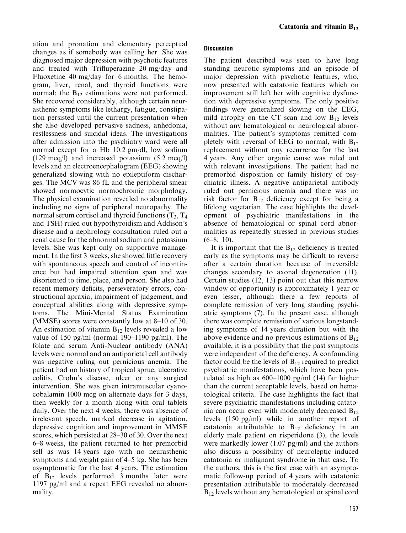ation and pronation and elementary perceptual changes as if somebody was calling her. She was diagnosed major depression with psychotic features and treated with Trifluperazine 20 mg/day and Fluoxetine 40 mg/day for 6 months. The hemogram, liver, renal, and thyroid functions were normal; the  $B_{12}$  estimations were not performed. She recovered considerably, although certain neurasthenic symptoms like lethargy, fatigue, constipation persisted until the current presentation when she also developed pervasive sadness, anhedonia, restlessness and suicidal ideas. The investigations after admission into the psychiatry ward were all normal except for a Hb 10.2 gm/dl, low sodium (129 meq/l) and increased potassium (5.2 meq/l) levels and an electroencephalogram (EEG) showing generalized slowing with no epileptiform discharges. The MCV was 86 fL and the peripheral smear showed normocytic normochromic morphology. The physical examination revealed no abnormality including no signs of peripheral neuropathy. The normal serum cortisol and thyroid functions  $(T_3, T_4)$ and TSH) ruled out hypothyroidism and Addison's disease and a nephrology consultation ruled out a renal cause for the abnormal sodium and potassium levels. She was kept only on supportive management. In the first 3 weeks, she showed little recovery with spontaneous speech and control of incontinence but had impaired attention span and was disoriented to time, place, and person. She also had recent memory deficits, perseveratory errors, constructional apraxia, impairment of judgement, and conceptual abilities along with depressive symptoms. The Mini-Mental Status Examination (MMSE) scores were constantly low at 8–10 of 30. An estimation of vitamin  $B_{12}$  levels revealed a low value of 150 pg/ml (normal 190–1190 pg/ml). The folate and serum Anti-Nuclear antibody (ANA) levels were normal and an antiparietal cell antibody was negative ruling out pernicious anemia. The patient had no history of tropical sprue, ulcerative colitis, Crohn's disease, ulcer or any surgical intervention. She was given intramuscular cyanocobalamin 1000 mcg on alternate days for 3 days, then weekly for a month along with oral tablets daily. Over the next 4 weeks, there was absence of irrelevant speech, marked decrease in agitation, depressive cognition and improvement in MMSE scores, which persisted at 28–30 of 30. Over the next 6–8 weeks, the patient returned to her premorbid self as was 14 years ago with no neurasthenic symptoms and weight gain of 4–5 kg. She has been asymptomatic for the last 4 years. The estimation of  $B_{12}$  levels performed 3 months later were 1197 pg/ml and a repeat EEG revealed no abnormality.

# **Discussion**

The patient described was seen to have long standing neurotic symptoms and an episode of major depression with psychotic features, who, now presented with catatonic features which on improvement still left her with cognitive dysfunction with depressive symptoms. The only positive findings were generalized slowing on the EEG, mild atrophy on the CT scan and low  $B_{12}$  levels without any hematological or neurological abnormalities. The patient's symptoms remitted completely with reversal of EEG to normal, with  $B_{12}$ replacement without any recurrence for the last 4 years. Any other organic cause was ruled out with relevant investigations. The patient had no premorbid disposition or family history of psychiatric illness. A negative antiparietal antibody ruled out pernicious anemia and there was no risk factor for  $B_{12}$  deficiency except for being a lifelong vegetarian. The case highlights the development of psychiatric manifestations in the absence of hematological or spinal cord abnormalities as repeatedly stressed in previous studies  $(6-8, 10)$ .

It is important that the  $B_{12}$  deficiency is treated early as the symptoms may be difficult to reverse after a certain duration because of irreversible changes secondary to axonal degeneration (11). Certain studies (12, 13) point out that this narrow window of opportunity is approximately 1 year or even lesser, although there a few reports of complete remission of very long standing psychiatric symptoms (7). In the present case, although there was complete remission of various longstanding symptoms of 14 years duration but with the above evidence and no previous estimations of  $B_{12}$ available, it is a possibility that the past symptoms were independent of the deficiency. A confounding factor could be the levels of  $B_{12}$  required to predict psychiatric manifestations, which have been postulated as high as 600–1000 pg/ml (14) far higher than the current acceptable levels, based on hematological criteria. The case highlights the fact that severe psychiatric manifestations including catatonia can occur even with moderately decreased  $B_{12}$ levels (150 pg/ml) while in another report of catatonia attributable to  $B_{12}$  deficiency in an elderly male patient on risperidone (3), the levels were markedly lower (1.07 pg/ml) and the authors also discuss a possibility of neuroleptic induced catatonia or malignant syndrome in that case. To the authors, this is the first case with an asymptomatic follow-up period of 4 years with catatonic presentation attributable to moderately decreased  $B_{12}$  levels without any hematological or spinal cord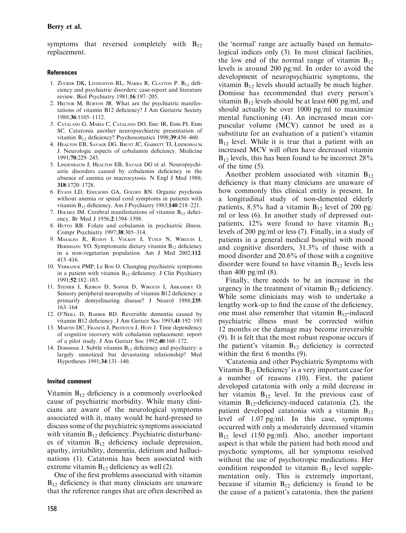symptoms that reversed completely with  $B_{12}$ replacement.

## References

- 1. ZUCKER DK, LIVINGSTON RL, NAKRA R, CLAYTON P. B<sub>12</sub> deficiency and psychiatric disorders: case-report and literature review. Biol Psychiatry 1981;16:197–205.
- 2. HECTOR M, BURTON JR. What are the psychiatric manifestations of vitamin B12 deficiency? J Am Geriatric Society 1988;36:1105–1112.
- 3. Catalano G, Maria C, Catalano DO, Eric IR, Embi PJ, Embi SC. Catatonia another neuropsychiatric presentation of vitamin B12 deficiency? Psychosomatics 1998;39:456–460.
- 4. HEALTON EB, SAVAGE DG, BRUST JC, GARRETT TJ, LINDENBAUM J. Neurologic aspects of cobalamin deficiency. Medicine 1991;70:229–245.
- 5. Lindenbaum J, Healton EB, Savage DG et al. Neuropsychiatric disorders caused by cobalamin deficiency in the absence of anemia or macrocytosis. N Engl J Med 1988; 318:1720–1728.
- 6. Evans LD, Edelsohn GA, Golden RN. Organic psychosis without anemia or spinal cord symptoms in patients with vitamin B12 deficiency. Am J Psychiatry 1983;140:218–221.
- 7. HOLMES JM. Cerebral manifestations of vitamin  $B_{12}$  deficiency. Br Med J 1956;2:1394–1398.
- 8. Hurro RB. Folate and cobalamin in psychiatric illness. Compr Psychiatry 1997;38:305–314.
- 9. Masalha R, Rudoy I, Volkov I, Yusuf N, Wirguin I, HERISHANU YO. Symptomatic dietary vitamin  $B_{12}$  deficiency in a non-vegetarian population. Am J Med 2002;112: 413–416.
- 10. Verbanck PMP, Le Bon O. Changing psychiatric symptoms in a patient with vitamin  $B_{12}$  deficiency. J Clin Psychiatry 1991;52:182–183.
- 11. Stenier I, Kidron D, Soffer D, Wirguin I, Abramsky O. Sensory peripheral neuropathy of vitamin B12 deficiency: a primarily demyelinating disease? J Neurol 1988;235: 163–164
- 12. O'NEILL D, BARBER RD. Reversible dementia caused by vitamin B12 deficiency. J Am Geriatr Soc 1993;41:192–193
- 13. MARTIN DC, FRANCIS J, PROTETCH J, HUFF J. Time dependency of cognitive recovery with cobalamin replacement: report of a pilot study. J Am Geriatr Soc 1992;40:168–172.
- 14. Dommisse J. Subtle vitamin  $B_{12}$  deficiency and psychiatry: a largely unnoticed but devastating relationship? Med Hypotheses 1991;34:131–140.

### Invited comment

Vitamin  $B_{12}$  deficiency is a commonly overlooked cause of psychiatric morbidity. While many clinicians are aware of the neurological symptoms associated with it, many would be hard-pressed to discuss some of the psychiatric symptoms associated with vitamin  $B_{12}$  deficiency. Psychiatric disturbances of vitamin  $B_{12}$  deficiency include depression, apathy, irritability, dementia, delirium and hallucinations (1). Catatonia has been associated with extreme vitamin  $B_{12}$  deficiency as well (2).

One of the first problems associated with vitamin  $B_{12}$  deficiency is that many clinicians are unaware that the reference ranges that are often described as

the 'normal' range are actually based on hematological indices only (3). In most clinical facilities, the low end of the normal range of vitamin  $B_{12}$ levels is around 200 pg/ml. In order to avoid the development of neuropsychiatric symptoms, the vitamin  $B_{12}$  levels should actually be much higher. Domisse has recommended that every person's vitamin  $B_{12}$  levels should be at least 600 pg/ml, and should actually be over 1000 pg/ml to maximize mental functioning (4). An increased mean corpuscular volume (MCV) cannot be used as a substitute for an evaluation of a patient's vitamin  $B_{12}$  level. While it is true that a patient with an increased MCV will often have decreased vitamin  $B_{12}$  levels, this has been found to be incorrect 28% of the time (5).

Another problem associated with vitamin  $B_{12}$ deficiency is that many clinicians are unaware of how commonly this clinical entity is present. In a longitudinal study of non-demented elderly patients, 8.5% had a vitamin  $B_{12}$  level of 200 pg/ ml or less (6). In another study of depressed outpatients, 12% were found to have vitamin  $B_{12}$ levels of 200 pg/ml or less (7). Finally, in a study of patients in a general medical hospital with mood and cognitive disorders, 31.3% of those with a mood disorder and 20.6% of those with a cognitive disorder were found to have vitamin  $B_{12}$  levels less than 400 pg/ml  $(8)$ .

Finally, there needs to be an increase in the urgency in the treatment of vitamin  $B_{12}$  deficiency. While some clinicians may wish to undertake a lengthy work-up to find the cause of the deficiency, one must also remember that vitamin  $B_{12}$ -induced psychiatric illness must be corrected within 12 months or the damage may become irreversible (9). It is felt that the most robust response occurs if the patient's vitamin  $B_{12}$  deficiency is corrected within the first 6 months (9).

Catatonia and other Psychiatric Symptoms with Vitamin  $B_{12}$  Deficiency' is a very important case for a number of reasons (10). First, the patient developed catatonia with only a mild decrease in her vitamin  $B_{12}$  level. In the previous case of vitamin  $B_{12}$ -deficiency-induced catatonia (2), the patient developed catatonia with a vitamin  $B_{12}$ level of 1.07 pg/ml. In this case, symptoms occurred with only a moderately decreased vitamin  $B_{12}$  level (150 pg/ml). Also, another important aspect is that while the patient had both mood and psychotic symptoms, all her symptoms resolved without the use of psychotropic medications. Her condition responded to vitamin  $B_{12}$  level supplementation only. This is extremely important, because if vitamin  $B_{12}$  deficiency is found to be the cause of a patient's catatonia, then the patient